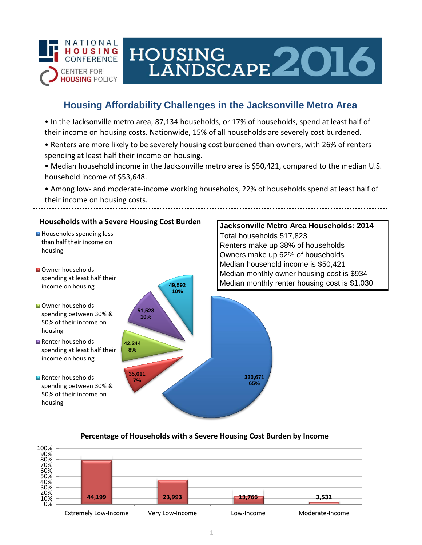

# HOUSING LANDSCAPE 2016

## **Housing Affordability Challenges in the Jacksonville Metro Area**

• In the Jacksonville metro area, 87,134 households, or 17% of households, spend at least half of their income on housing costs. Nationwide, 15% of all households are severely cost burdened.

- Renters are more likely to be severely housing cost burdened than owners, with 26% of renters spending at least half their income on housing.
- Median household income in the Jacksonville metro area is \$50,421, compared to the median U.S. household income of \$53,648.
- Among low- and moderate-income working households, 22% of households spend at least half of their income on housing costs.



### **Percentage of Households with a Severe Housing Cost Burden by Income**